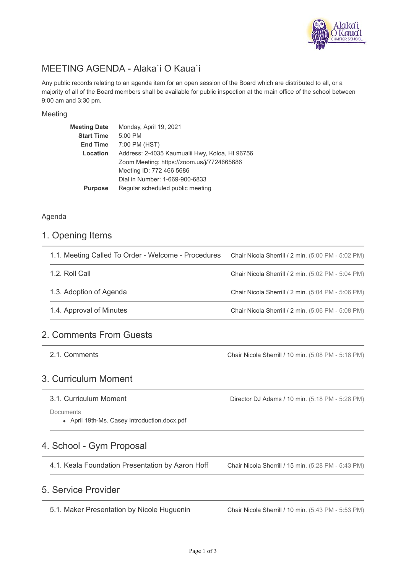

# MEETING AGENDA - Alaka`i O Kaua`i

Any public records relating to an agenda item for an open session of the Board which are distributed to all, or a majority of all of the Board members shall be available for public inspection at the main office of the school between 9:00 am and 3:30 pm.

#### Meeting

| <b>Meeting Date</b> | Monday, April 19, 2021                         |
|---------------------|------------------------------------------------|
| <b>Start Time</b>   | 5:00 PM                                        |
| <b>End Time</b>     | 7:00 PM (HST)                                  |
| Location            | Address: 2-4035 Kaumualii Hwy, Koloa, HI 96756 |
|                     | Zoom Meeting: https://zoom.us/j/7724665686     |
|                     | Meeting ID: 772 466 5686                       |
|                     | Dial in Number: 1-669-900-6833                 |
| <b>Purpose</b>      | Regular scheduled public meeting               |
|                     |                                                |

### Agenda

### 1. Opening Items

| 1.1. Meeting Called To Order - Welcome - Procedures | Chair Nicola Sherrill / 2 min. (5:00 PM - 5:02 PM) |
|-----------------------------------------------------|----------------------------------------------------|
| 1.2. Roll Call                                      | Chair Nicola Sherrill / 2 min. (5:02 PM - 5:04 PM) |
| 1.3. Adoption of Agenda                             | Chair Nicola Sherrill / 2 min. (5:04 PM - 5:06 PM) |
|                                                     | Chair Nicola Sherrill / 2 min. (5:06 PM - 5:08 PM) |
| 1.4. Approval of Minutes                            |                                                    |

## 2. Comments From Guests

2.1. Comments

Chair Nicola Sherrill / 10 min. (5:08 PM - 5:18 PM)

Director DJ Adams / 10 min. (5:18 PM - 5:28 PM)

## 3. Curriculum Moment

#### 3.1. Curriculum Moment

**Documents** 

April 19th-Ms. Casey Introduction.docx.pdf

# 4. School - Gym Proposal

4.1. Keala Foundation Presentation by Aaron Hoff

Chair Nicola Sherrill / 15 min. (5:28 PM - 5:43 PM)

# 5. Service Provider

5.1. Maker Presentation by Nicole Huguenin

Chair Nicola Sherrill / 10 min. (5:43 PM - 5:53 PM)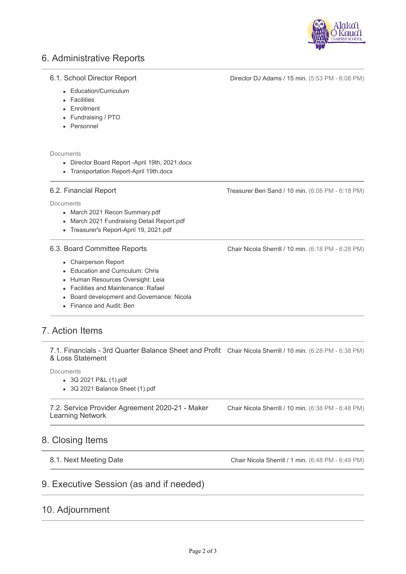

# 6. Administrative Reports

#### 6.1. School Director Report

Education/Curriculum

- Facilities
- Enrollment
- Fundraising / PTO
- Personnel

Documents

- Director Board Report -April 19th, 2021.docx
- Transportation Report-April 19th.docx

#### 6.2. Financial Report

**Documents** 

- March 2021 Recon Summary.pdf
- March 2021 Fundraising Detail Report.pdf
- Treasurer's Report-April 19, 2021.pdf

#### 6.3. Board Committee Reports

- Chairperson Report
- Education and Curriculum: Chris
- Human Resources Oversight: Leia
- Facilities and Maintenance: Rafael
- Board development and Governance: Nicola
- Finance and Audit: Ben

# 7. Action Items

7.1. Financials - 3rd Quarter Balance Sheet and Profit Chair Nicola Sherrill / 10 min. (6:28 PM - 6:38 PM) & Loss Statement

**Documents** 

- 3Q 2021 P&L (1).pdf
- 3Q 2021 Balance Sheet (1).pdf

7.2. Service Provider Agreement 2020-21 - Maker Learning Network

Chair Nicola Sherrill / 10 min. (6:38 PM - 6:48 PM)

### 8. Closing Items

```
8.1. Next Meeting Date
```
Chair Nicola Sherrill / 1 min. (6:48 PM - 6:49 PM)

## 9. Executive Session (as and if needed)

## 10. Adjournment

Treasurer Ben Sand / 10 min. (6:08 PM - 6:18 PM)

Director DJ Adams / 15 min. (5:53 PM - 6:08 PM)

Chair Nicola Sherrill / 10 min. (6:18 PM - 6:28 PM)